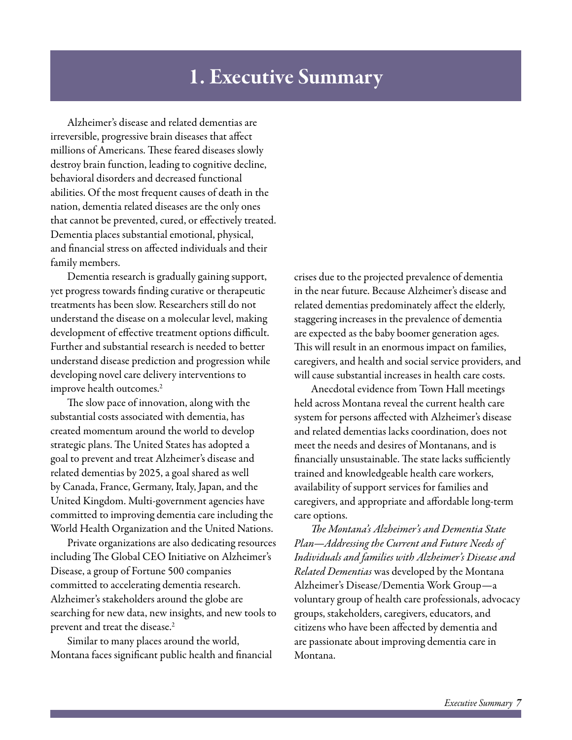## 1. Executive Summary

Alzheimer's disease and related dementias are irreversible, progressive brain diseases that affect millions of Americans. These feared diseases slowly destroy brain function, leading to cognitive decline, behavioral disorders and decreased functional abilities. Of the most frequent causes of death in the nation, dementia related diseases are the only ones that cannot be prevented, cured, or effectively treated. Dementia places substantial emotional, physical, and financial stress on affected individuals and their family members.

Dementia research is gradually gaining support, yet progress towards finding curative or therapeutic treatments has been slow. Researchers still do not understand the disease on a molecular level, making development of effective treatment options difficult. Further and substantial research is needed to better understand disease prediction and progression while developing novel care delivery interventions to improve health outcomes.<sup>2</sup>

The slow pace of innovation, along with the substantial costs associated with dementia, has created momentum around the world to develop strategic plans. The United States has adopted a goal to prevent and treat Alzheimer's disease and related dementias by 2025, a goal shared as well by Canada, France, Germany, Italy, Japan, and the United Kingdom. Multi-government agencies have committed to improving dementia care including the World Health Organization and the United Nations.

Private organizations are also dedicating resources including The Global CEO Initiative on Alzheimer's Disease, a group of Fortune 500 companies committed to accelerating dementia research. Alzheimer's stakeholders around the globe are searching for new data, new insights, and new tools to prevent and treat the disease.<sup>2</sup>

Similar to many places around the world, Montana faces significant public health and financial crises due to the projected prevalence of dementia in the near future. Because Alzheimer's disease and related dementias predominately affect the elderly, staggering increases in the prevalence of dementia are expected as the baby boomer generation ages. This will result in an enormous impact on families, caregivers, and health and social service providers, and will cause substantial increases in health care costs.

Anecdotal evidence from Town Hall meetings held across Montana reveal the current health care system for persons affected with Alzheimer's disease and related dementias lacks coordination, does not meet the needs and desires of Montanans, and is financially unsustainable. The state lacks sufficiently trained and knowledgeable health care workers, availability of support services for families and caregivers, and appropriate and affordable long-term care options.

*The Montana's Alzheimer's and Dementia State Plan—Addressing the Current and Future Needs of Individuals and families with Alzheimer's Disease and Related Dementias* was developed by the Montana Alzheimer's Disease/Dementia Work Group—a voluntary group of health care professionals, advocacy groups, stakeholders, caregivers, educators, and citizens who have been affected by dementia and are passionate about improving dementia care in Montana.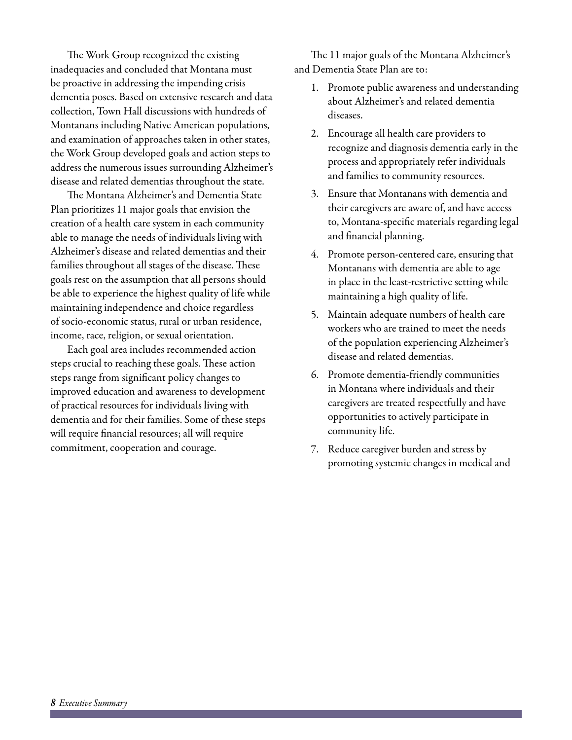The Work Group recognized the existing inadequacies and concluded that Montana must be proactive in addressing the impending crisis dementia poses. Based on extensive research and data collection, Town Hall discussions with hundreds of Montanans including Native American populations, and examination of approaches taken in other states, the Work Group developed goals and action steps to address the numerous issues surrounding Alzheimer's disease and related dementias throughout the state.

The Montana Alzheimer's and Dementia State Plan prioritizes 11 major goals that envision the creation of a health care system in each community able to manage the needs of individuals living with Alzheimer's disease and related dementias and their families throughout all stages of the disease. These goals rest on the assumption that all persons should be able to experience the highest quality of life while maintaining independence and choice regardless of socio-economic status, rural or urban residence, income, race, religion, or sexual orientation.

Each goal area includes recommended action steps crucial to reaching these goals. These action steps range from significant policy changes to improved education and awareness to development of practical resources for individuals living with dementia and for their families. Some of these steps will require financial resources; all will require commitment, cooperation and courage.

The 11 major goals of the Montana Alzheimer's and Dementia State Plan are to:

- 1. Promote public awareness and understanding about Alzheimer's and related dementia diseases.
- 2. Encourage all health care providers to recognize and diagnosis dementia early in the process and appropriately refer individuals and families to community resources.
- 3. Ensure that Montanans with dementia and their caregivers are aware of, and have access to, Montana-specific materials regarding legal and financial planning.
- 4. Promote person-centered care, ensuring that Montanans with dementia are able to age in place in the least-restrictive setting while maintaining a high quality of life.
- 5. Maintain adequate numbers of health care workers who are trained to meet the needs of the population experiencing Alzheimer's disease and related dementias.
- 6. Promote dementia-friendly communities in Montana where individuals and their caregivers are treated respectfully and have opportunities to actively participate in community life.
- 7. Reduce caregiver burden and stress by promoting systemic changes in medical and